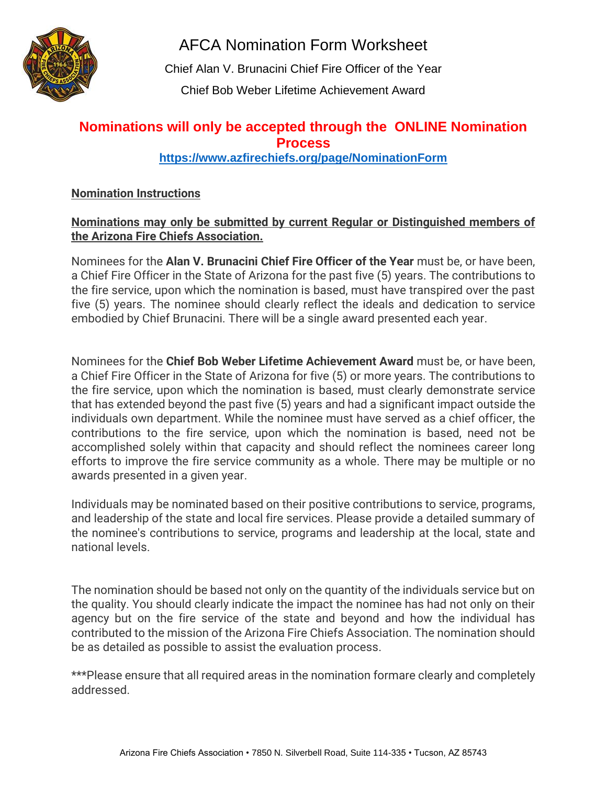

AFCA Nomination Form Worksheet

Chief Alan V. Brunacini Chief Fire Officer of the Year Chief Bob Weber Lifetime Achievement Award

# **Nominations will only be accepted through the ONLINE Nomination Process**

## **<https://www.azfirechiefs.org/page/NominationForm>**

## **Nomination Instructions**

## **Nominations may only be submitted by current Regular or Distinguished members of the Arizona Fire Chiefs Association.**

Nominees for the **Alan V. Brunacini Chief Fire Officer of the Year** must be, or have been, a Chief Fire Officer in the State of Arizona for the past five (5) years. The contributions to the fire service, upon which the nomination is based, must have transpired over the past five (5) years. The nominee should clearly reflect the ideals and dedication to service embodied by Chief Brunacini. There will be a single award presented each year.

Nominees for the **Chief Bob Weber Lifetime Achievement Award** must be, or have been, a Chief Fire Officer in the State of Arizona for five (5) or more years. The contributions to the fire service, upon which the nomination is based, must clearly demonstrate service that has extended beyond the past five (5) years and had a significant impact outside the individuals own department. While the nominee must have served as a chief officer, the contributions to the fire service, upon which the nomination is based, need not be accomplished solely within that capacity and should reflect the nominees career long efforts to improve the fire service community as a whole. There may be multiple or no awards presented in a given year.

Individuals may be nominated based on their positive contributions to service, programs, and leadership of the state and local fire services. Please provide a detailed summary of the nominee's contributions to service, programs and leadership at the local, state and national levels.

The nomination should be based not only on the quantity of the individuals service but on the quality. You should clearly indicate the impact the nominee has had not only on their agency but on the fire service of the state and beyond and how the individual has contributed to the mission of the Arizona Fire Chiefs Association. The nomination should be as detailed as possible to assist the evaluation process.

\*\*\*Please ensure that all required areas in the nomination formare clearly and completely addressed.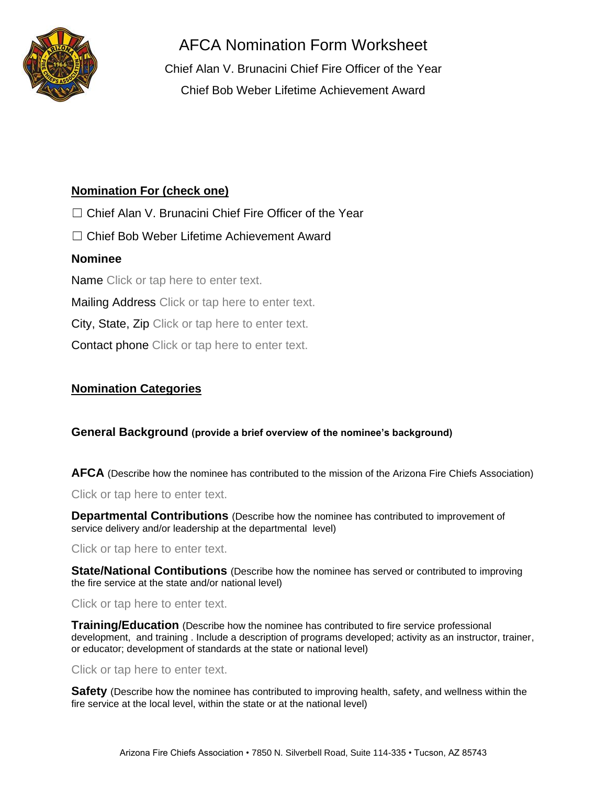

AFCA Nomination Form Worksheet

Chief Alan V. Brunacini Chief Fire Officer of the Year Chief Bob Weber Lifetime Achievement Award

## **Nomination For (check one)**

□ Chief Alan V. Brunacini Chief Fire Officer of the Year

☐ Chief Bob Weber Lifetime Achievement Award

### **Nominee**

Name Click or tap here to enter text.

Mailing Address Click or tap here to enter text.

City, State, Zip Click or tap here to enter text.

Contact phone Click or tap here to enter text.

## **Nomination Categories**

#### **General Background (provide a brief overview of the nominee's background)**

**AFCA** (Describe how the nominee has contributed to the mission of the Arizona Fire Chiefs Association)

Click or tap here to enter text.

**Departmental Contributions** (Describe how the nominee has contributed to improvement of service delivery and/or leadership at the departmental level)

Click or tap here to enter text.

**State/National Contibutions** (Describe how the nominee has served or contributed to improving the fire service at the state and/or national level)

#### Click or tap here to enter text.

**Training/Education** (Describe how the nominee has contributed to fire service professional development, and training . Include a description of programs developed; activity as an instructor, trainer, or educator; development of standards at the state or national level)

#### Click or tap here to enter text.

**Safety** (Describe how the nominee has contributed to improving health, safety, and wellness within the fire service at the local level, within the state or at the national level)